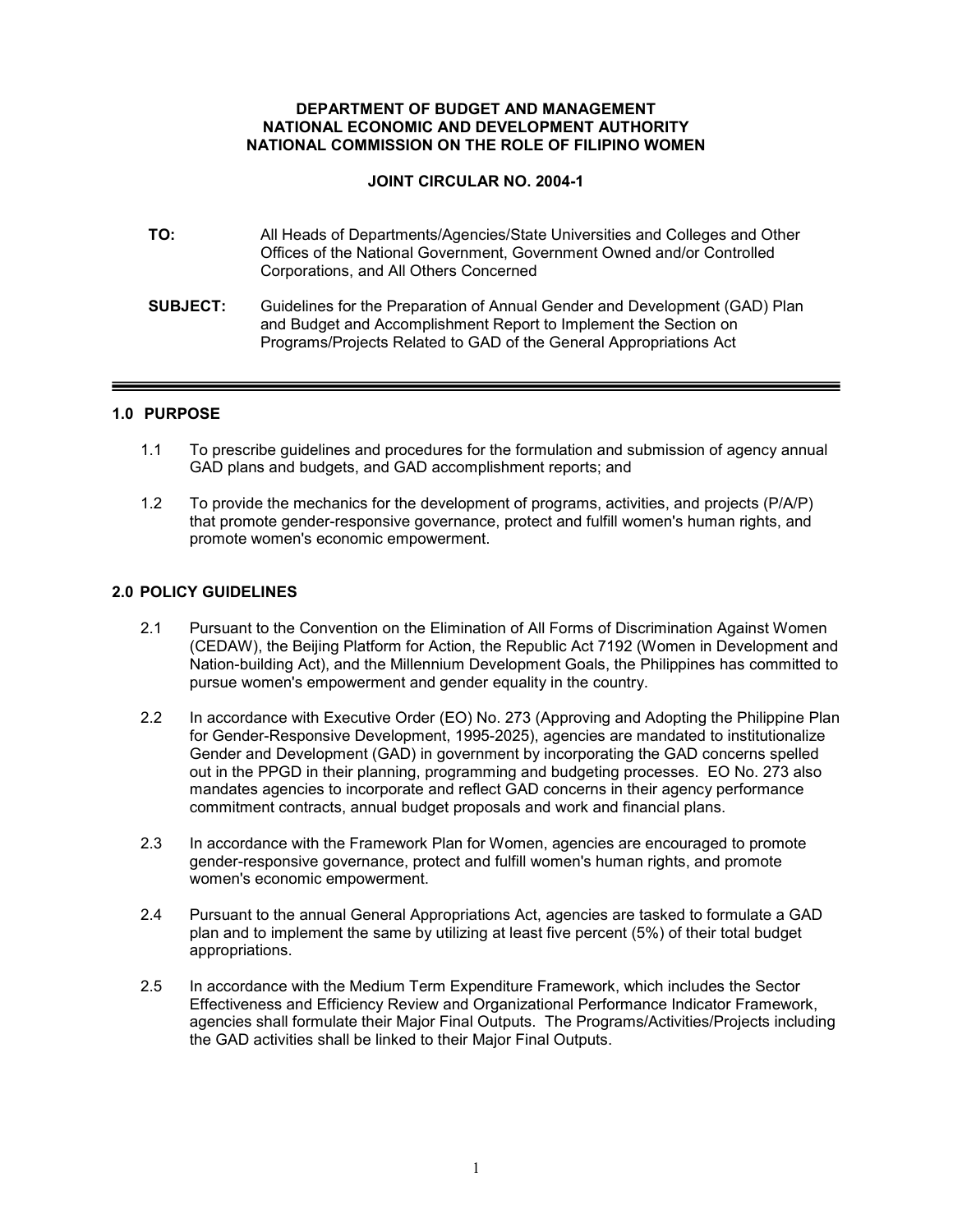#### **DEPARTMENT OF BUDGET AND MANAGEMENT NATIONAL ECONOMIC AND DEVELOPMENT AUTHORITY NATIONAL COMMISSION ON THE ROLE OF FILIPINO WOMEN**

# **JOINT CIRCULAR NO. 2004-1**

| TO:             | All Heads of Departments/Agencies/State Universities and Colleges and Other<br>Offices of the National Government, Government Owned and/or Controlled<br>Corporations, and All Others Concerned                      |
|-----------------|----------------------------------------------------------------------------------------------------------------------------------------------------------------------------------------------------------------------|
| <b>SUBJECT:</b> | Guidelines for the Preparation of Annual Gender and Development (GAD) Plan<br>and Budget and Accomplishment Report to Implement the Section on<br>Programs/Projects Related to GAD of the General Appropriations Act |

# **1.0 PURPOSE**

- 1.1 To prescribe guidelines and procedures for the formulation and submission of agency annual GAD plans and budgets, and GAD accomplishment reports; and
- 1.2 To provide the mechanics for the development of programs, activities, and projects (P/A/P) that promote gender-responsive governance, protect and fulfill women's human rights, and promote women's economic empowerment.

# **2.0 POLICY GUIDELINES**

- 2.1 Pursuant to the Convention on the Elimination of All Forms of Discrimination Against Women (CEDAW), the Beijing Platform for Action, the Republic Act 7192 (Women in Development and Nation-building Act), and the Millennium Development Goals, the Philippines has committed to pursue women's empowerment and gender equality in the country.
- 2.2 In accordance with Executive Order (EO) No. 273 (Approving and Adopting the Philippine Plan for Gender-Responsive Development, 1995-2025), agencies are mandated to institutionalize Gender and Development (GAD) in government by incorporating the GAD concerns spelled out in the PPGD in their planning, programming and budgeting processes. EO No. 273 also mandates agencies to incorporate and reflect GAD concerns in their agency performance commitment contracts, annual budget proposals and work and financial plans.
- 2.3 In accordance with the Framework Plan for Women, agencies are encouraged to promote gender-responsive governance, protect and fulfill women's human rights, and promote women's economic empowerment.
- 2.4 Pursuant to the annual General Appropriations Act, agencies are tasked to formulate a GAD plan and to implement the same by utilizing at least five percent (5%) of their total budget appropriations.
- 2.5 In accordance with the Medium Term Expenditure Framework, which includes the Sector Effectiveness and Efficiency Review and Organizational Performance Indicator Framework, agencies shall formulate their Major Final Outputs. The Programs/Activities/Projects including the GAD activities shall be linked to their Major Final Outputs.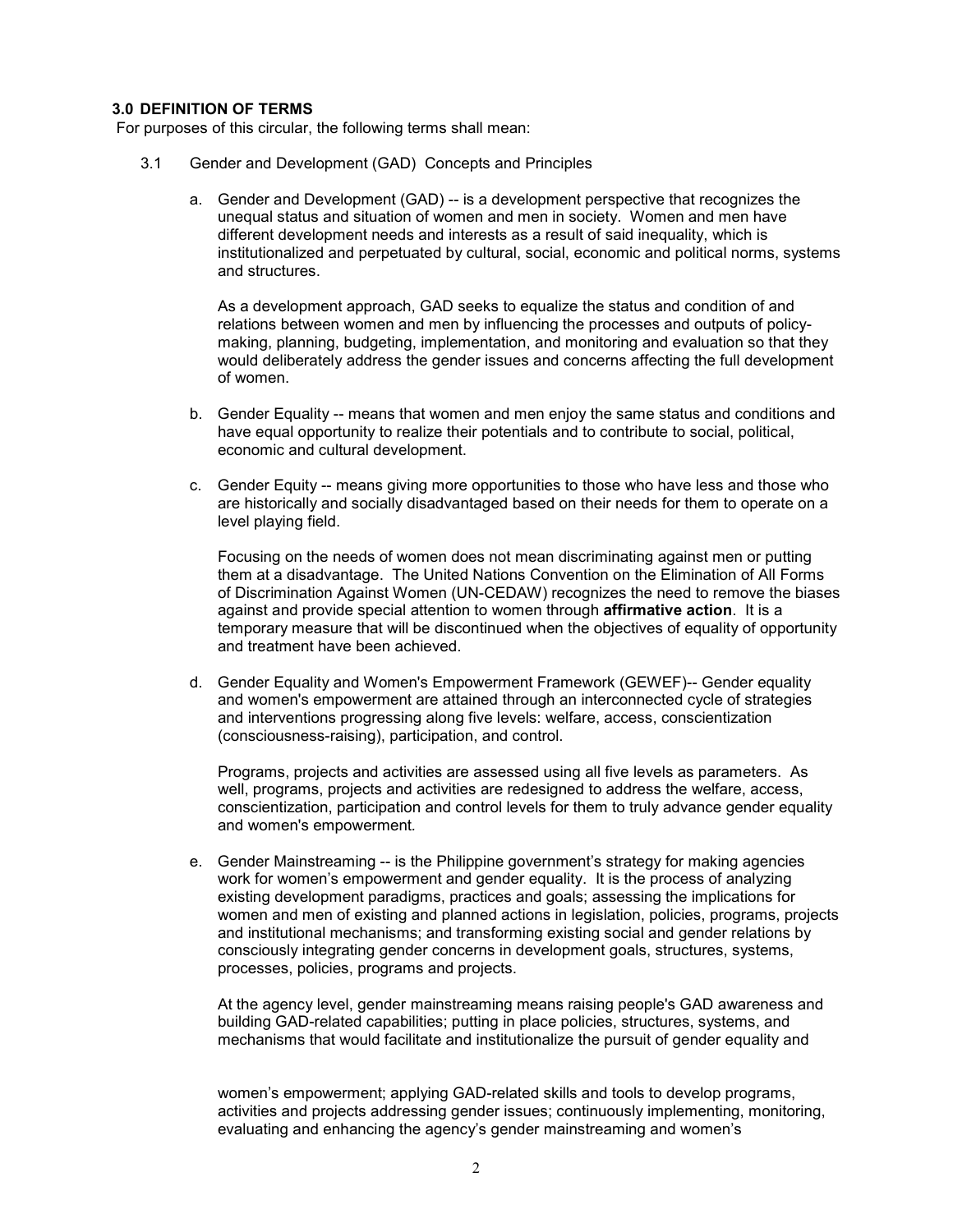# **3.0 DEFINITION OF TERMS**

For purposes of this circular, the following terms shall mean:

- 3.1 Gender and Development (GAD) Concepts and Principles
	- a. Gender and Development (GAD) -- is a development perspective that recognizes the unequal status and situation of women and men in society. Women and men have different development needs and interests as a result of said inequality, which is institutionalized and perpetuated by cultural, social, economic and political norms, systems and structures.

As a development approach, GAD seeks to equalize the status and condition of and relations between women and men by influencing the processes and outputs of policymaking, planning, budgeting, implementation, and monitoring and evaluation so that they would deliberately address the gender issues and concerns affecting the full development of women.

- b. Gender Equality -- means that women and men enjoy the same status and conditions and have equal opportunity to realize their potentials and to contribute to social, political, economic and cultural development.
- c. Gender Equity -- means giving more opportunities to those who have less and those who are historically and socially disadvantaged based on their needs for them to operate on a level playing field.

Focusing on the needs of women does not mean discriminating against men or putting them at a disadvantage. The United Nations Convention on the Elimination of All Forms of Discrimination Against Women (UN-CEDAW) recognizes the need to remove the biases against and provide special attention to women through **affirmative action**. It is a temporary measure that will be discontinued when the objectives of equality of opportunity and treatment have been achieved.

d. Gender Equality and Women's Empowerment Framework (GEWEF)-- Gender equality and women's empowerment are attained through an interconnected cycle of strategies and interventions progressing along five levels: welfare, access, conscientization (consciousness-raising), participation, and control.

Programs, projects and activities are assessed using all five levels as parameters. As well, programs, projects and activities are redesigned to address the welfare, access, conscientization, participation and control levels for them to truly advance gender equality and women's empowerment*.*

e. Gender Mainstreaming -- is the Philippine government's strategy for making agencies work for women's empowerment and gender equality. It is the process of analyzing existing development paradigms, practices and goals; assessing the implications for women and men of existing and planned actions in legislation, policies, programs, projects and institutional mechanisms; and transforming existing social and gender relations by consciously integrating gender concerns in development goals, structures, systems, processes, policies, programs and projects.

At the agency level, gender mainstreaming means raising people's GAD awareness and building GAD-related capabilities; putting in place policies, structures, systems, and mechanisms that would facilitate and institutionalize the pursuit of gender equality and

women's empowerment; applying GAD-related skills and tools to develop programs, activities and projects addressing gender issues; continuously implementing, monitoring, evaluating and enhancing the agency's gender mainstreaming and women's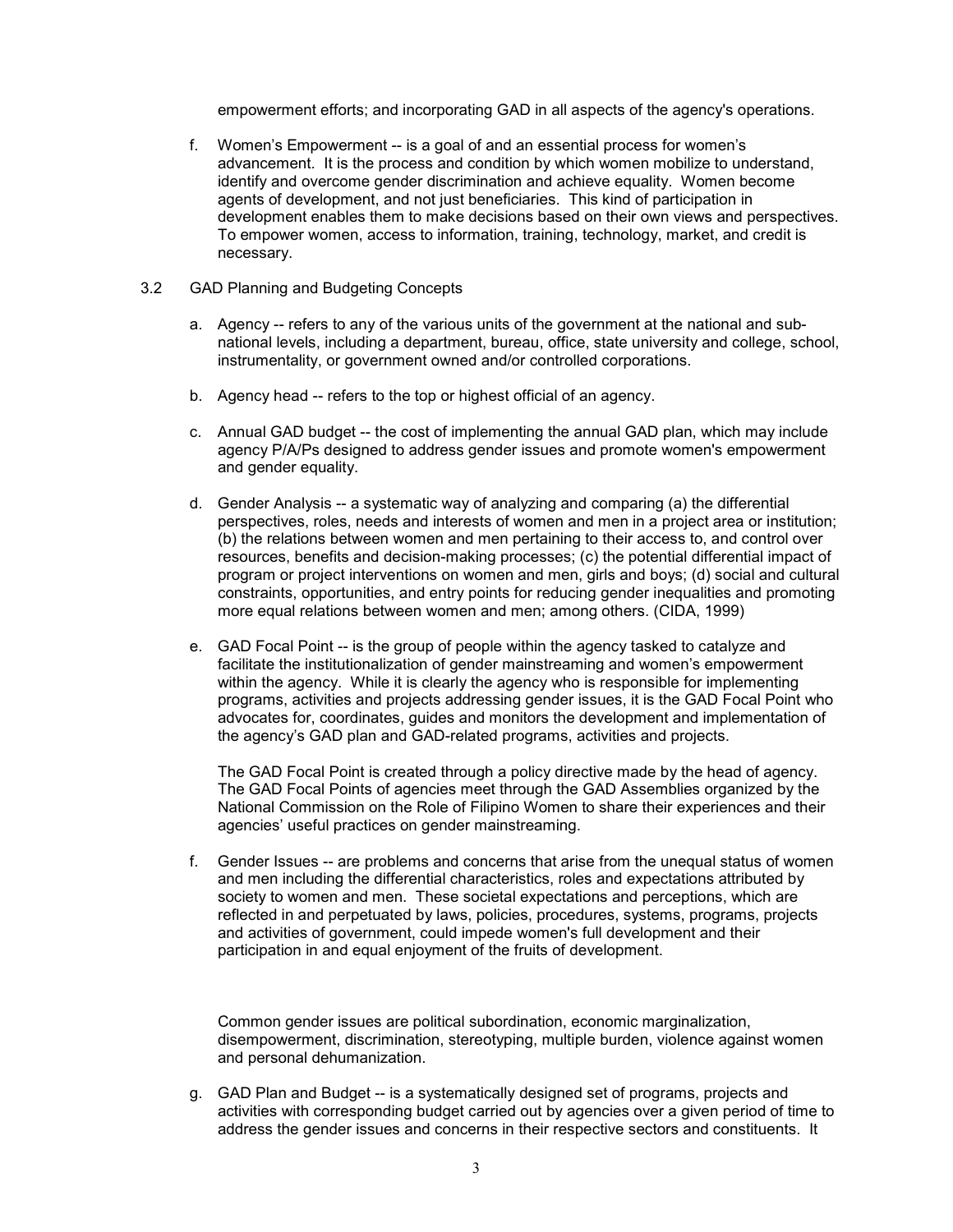empowerment efforts; and incorporating GAD in all aspects of the agency's operations.

- f. Women's Empowerment -- is a goal of and an essential process for women's advancement. It is the process and condition by which women mobilize to understand, identify and overcome gender discrimination and achieve equality. Women become agents of development, and not just beneficiaries. This kind of participation in development enables them to make decisions based on their own views and perspectives. To empower women, access to information, training, technology, market, and credit is necessary.
- 3.2 GAD Planning and Budgeting Concepts
	- a. Agency -- refers to any of the various units of the government at the national and subnational levels, including a department, bureau, office, state university and college, school, instrumentality, or government owned and/or controlled corporations.
	- b. Agency head -- refers to the top or highest official of an agency.
	- c. Annual GAD budget -- the cost of implementing the annual GAD plan, which may include agency P/A/Ps designed to address gender issues and promote women's empowerment and gender equality.
	- d. Gender Analysis -- a systematic way of analyzing and comparing (a) the differential perspectives, roles, needs and interests of women and men in a project area or institution; (b) the relations between women and men pertaining to their access to, and control over resources, benefits and decision-making processes; (c) the potential differential impact of program or project interventions on women and men, girls and boys; (d) social and cultural constraints, opportunities, and entry points for reducing gender inequalities and promoting more equal relations between women and men; among others. (CIDA, 1999)
	- e. GAD Focal Point -- is the group of people within the agency tasked to catalyze and facilitate the institutionalization of gender mainstreaming and women's empowerment within the agency. While it is clearly the agency who is responsible for implementing programs, activities and projects addressing gender issues, it is the GAD Focal Point who advocates for, coordinates, guides and monitors the development and implementation of the agency's GAD plan and GAD-related programs, activities and projects.

The GAD Focal Point is created through a policy directive made by the head of agency. The GAD Focal Points of agencies meet through the GAD Assemblies organized by the National Commission on the Role of Filipino Women to share their experiences and their agencies' useful practices on gender mainstreaming.

f. Gender Issues -- are problems and concerns that arise from the unequal status of women and men including the differential characteristics, roles and expectations attributed by society to women and men. These societal expectations and perceptions, which are reflected in and perpetuated by laws, policies, procedures, systems, programs, projects and activities of government, could impede women's full development and their participation in and equal enjoyment of the fruits of development.

Common gender issues are political subordination, economic marginalization, disempowerment, discrimination, stereotyping, multiple burden, violence against women and personal dehumanization.

g. GAD Plan and Budget -- is a systematically designed set of programs, projects and activities with corresponding budget carried out by agencies over a given period of time to address the gender issues and concerns in their respective sectors and constituents. It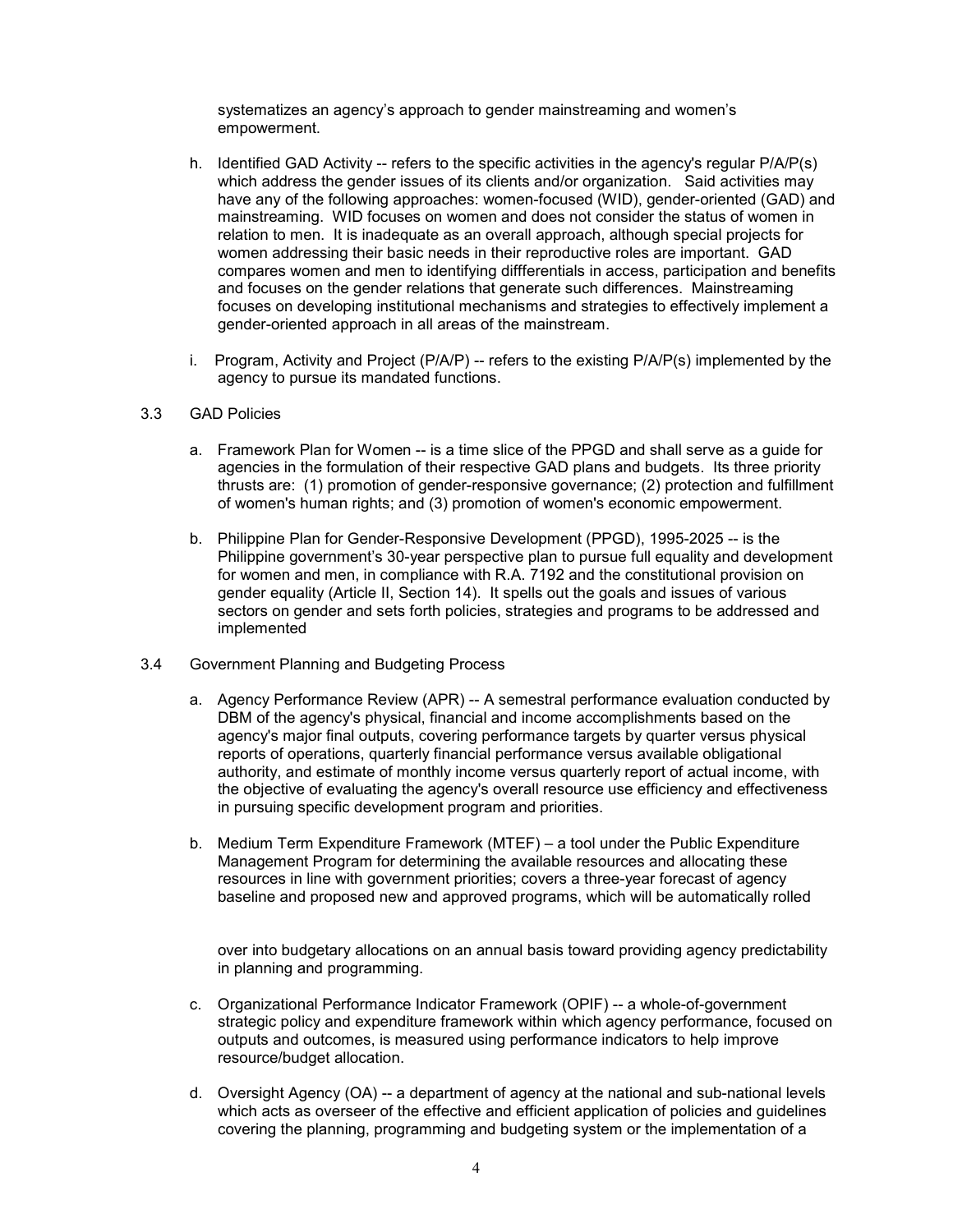systematizes an agency's approach to gender mainstreaming and women's empowerment.

- h. Identified GAD Activity -- refers to the specific activities in the agency's regular P/A/P(s) which address the gender issues of its clients and/or organization. Said activities may have any of the following approaches: women-focused (WID), gender-oriented (GAD) and mainstreaming. WID focuses on women and does not consider the status of women in relation to men. It is inadequate as an overall approach, although special projects for women addressing their basic needs in their reproductive roles are important. GAD compares women and men to identifying diffferentials in access, participation and benefits and focuses on the gender relations that generate such differences. Mainstreaming focuses on developing institutional mechanisms and strategies to effectively implement a gender-oriented approach in all areas of the mainstream.
- i. Program, Activity and Project ( $P/A/P$ ) -- refers to the existing  $P/A/P(s)$  implemented by the agency to pursue its mandated functions.

## 3.3 GAD Policies

- a. Framework Plan for Women -- is a time slice of the PPGD and shall serve as a guide for agencies in the formulation of their respective GAD plans and budgets. Its three priority thrusts are: (1) promotion of gender-responsive governance; (2) protection and fulfillment of women's human rights; and (3) promotion of women's economic empowerment.
- b. Philippine Plan for Gender-Responsive Development (PPGD), 1995-2025 -- is the Philippine government's 30-year perspective plan to pursue full equality and development for women and men, in compliance with R.A. 7192 and the constitutional provision on gender equality (Article II, Section 14). It spells out the goals and issues of various sectors on gender and sets forth policies, strategies and programs to be addressed and implemented
- 3.4 Government Planning and Budgeting Process
	- a. Agency Performance Review (APR) -- A semestral performance evaluation conducted by DBM of the agency's physical, financial and income accomplishments based on the agency's major final outputs, covering performance targets by quarter versus physical reports of operations, quarterly financial performance versus available obligational authority, and estimate of monthly income versus quarterly report of actual income, with the objective of evaluating the agency's overall resource use efficiency and effectiveness in pursuing specific development program and priorities.
	- b. Medium Term Expenditure Framework (MTEF) a tool under the Public Expenditure Management Program for determining the available resources and allocating these resources in line with government priorities; covers a three-year forecast of agency baseline and proposed new and approved programs, which will be automatically rolled

over into budgetary allocations on an annual basis toward providing agency predictability in planning and programming.

- c. Organizational Performance Indicator Framework (OPIF) -- a whole-of-government strategic policy and expenditure framework within which agency performance, focused on outputs and outcomes, is measured using performance indicators to help improve resource/budget allocation.
- d. Oversight Agency (OA) -- a department of agency at the national and sub-national levels which acts as overseer of the effective and efficient application of policies and guidelines covering the planning, programming and budgeting system or the implementation of a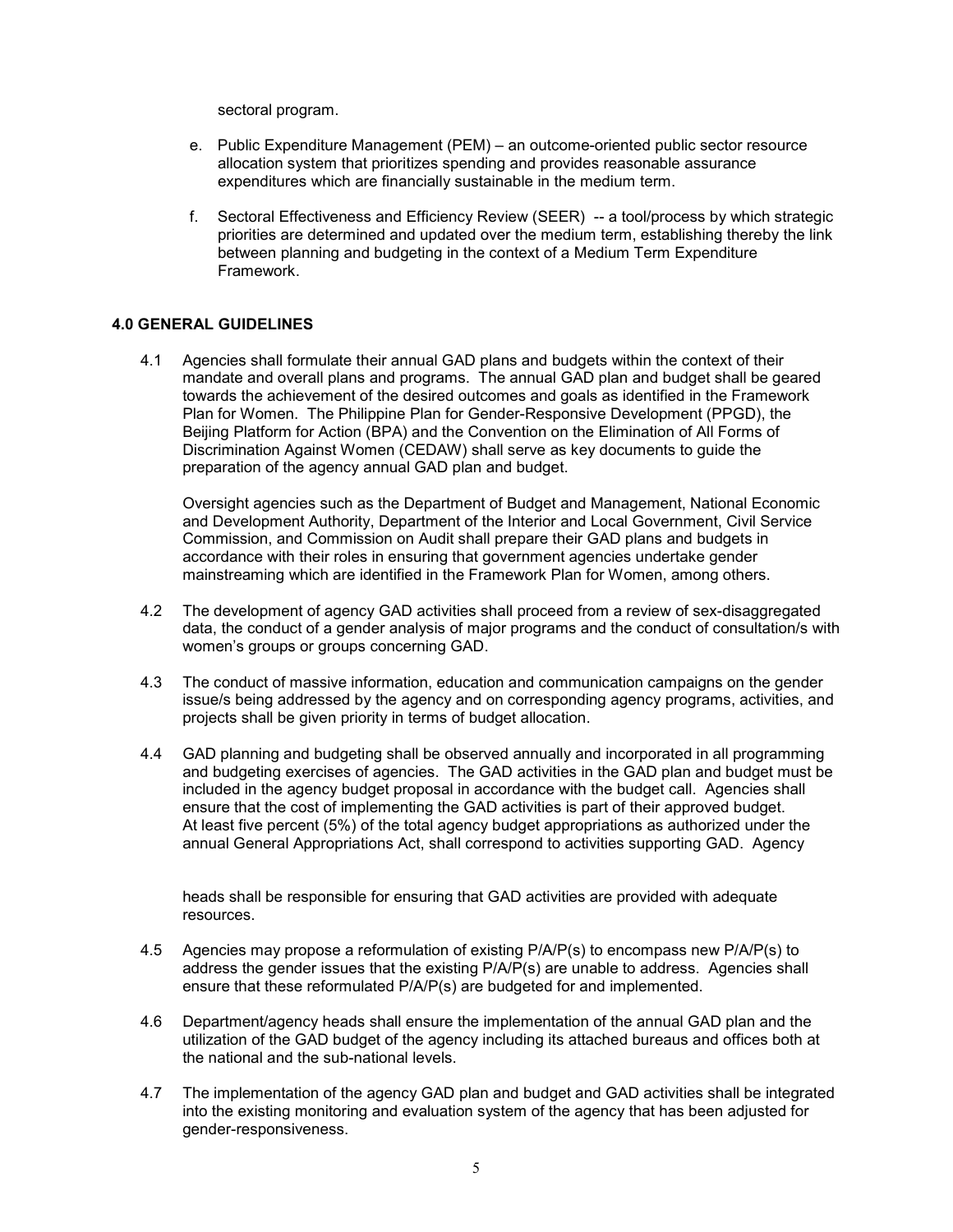sectoral program.

- e. Public Expenditure Management (PEM) an outcome-oriented public sector resource allocation system that prioritizes spending and provides reasonable assurance expenditures which are financially sustainable in the medium term.
- f. Sectoral Effectiveness and Efficiency Review (SEER) -- a tool/process by which strategic priorities are determined and updated over the medium term, establishing thereby the link between planning and budgeting in the context of a Medium Term Expenditure Framework.

# **4.0 GENERAL GUIDELINES**

4.1 Agencies shall formulate their annual GAD plans and budgets within the context of their mandate and overall plans and programs. The annual GAD plan and budget shall be geared towards the achievement of the desired outcomes and goals as identified in the Framework Plan for Women. The Philippine Plan for Gender-Responsive Development (PPGD), the Beijing Platform for Action (BPA) and the Convention on the Elimination of All Forms of Discrimination Against Women (CEDAW) shall serve as key documents to guide the preparation of the agency annual GAD plan and budget.

Oversight agencies such as the Department of Budget and Management, National Economic and Development Authority, Department of the Interior and Local Government, Civil Service Commission, and Commission on Audit shall prepare their GAD plans and budgets in accordance with their roles in ensuring that government agencies undertake gender mainstreaming which are identified in the Framework Plan for Women, among others.

- 4.2 The development of agency GAD activities shall proceed from a review of sex-disaggregated data, the conduct of a gender analysis of major programs and the conduct of consultation/s with women's groups or groups concerning GAD.
- 4.3 The conduct of massive information, education and communication campaigns on the gender issue/s being addressed by the agency and on corresponding agency programs, activities, and projects shall be given priority in terms of budget allocation.
- 4.4 GAD planning and budgeting shall be observed annually and incorporated in all programming and budgeting exercises of agencies. The GAD activities in the GAD plan and budget must be included in the agency budget proposal in accordance with the budget call. Agencies shall ensure that the cost of implementing the GAD activities is part of their approved budget. At least five percent (5%) of the total agency budget appropriations as authorized under the annual General Appropriations Act, shall correspond to activities supporting GAD. Agency

heads shall be responsible for ensuring that GAD activities are provided with adequate resources.

- 4.5 Agencies may propose a reformulation of existing P/A/P(s) to encompass new P/A/P(s) to address the gender issues that the existing  $P/A/P(s)$  are unable to address. Agencies shall ensure that these reformulated P/A/P(s) are budgeted for and implemented.
- 4.6 Department/agency heads shall ensure the implementation of the annual GAD plan and the utilization of the GAD budget of the agency including its attached bureaus and offices both at the national and the sub-national levels.
- 4.7 The implementation of the agency GAD plan and budget and GAD activities shall be integrated into the existing monitoring and evaluation system of the agency that has been adjusted for gender-responsiveness.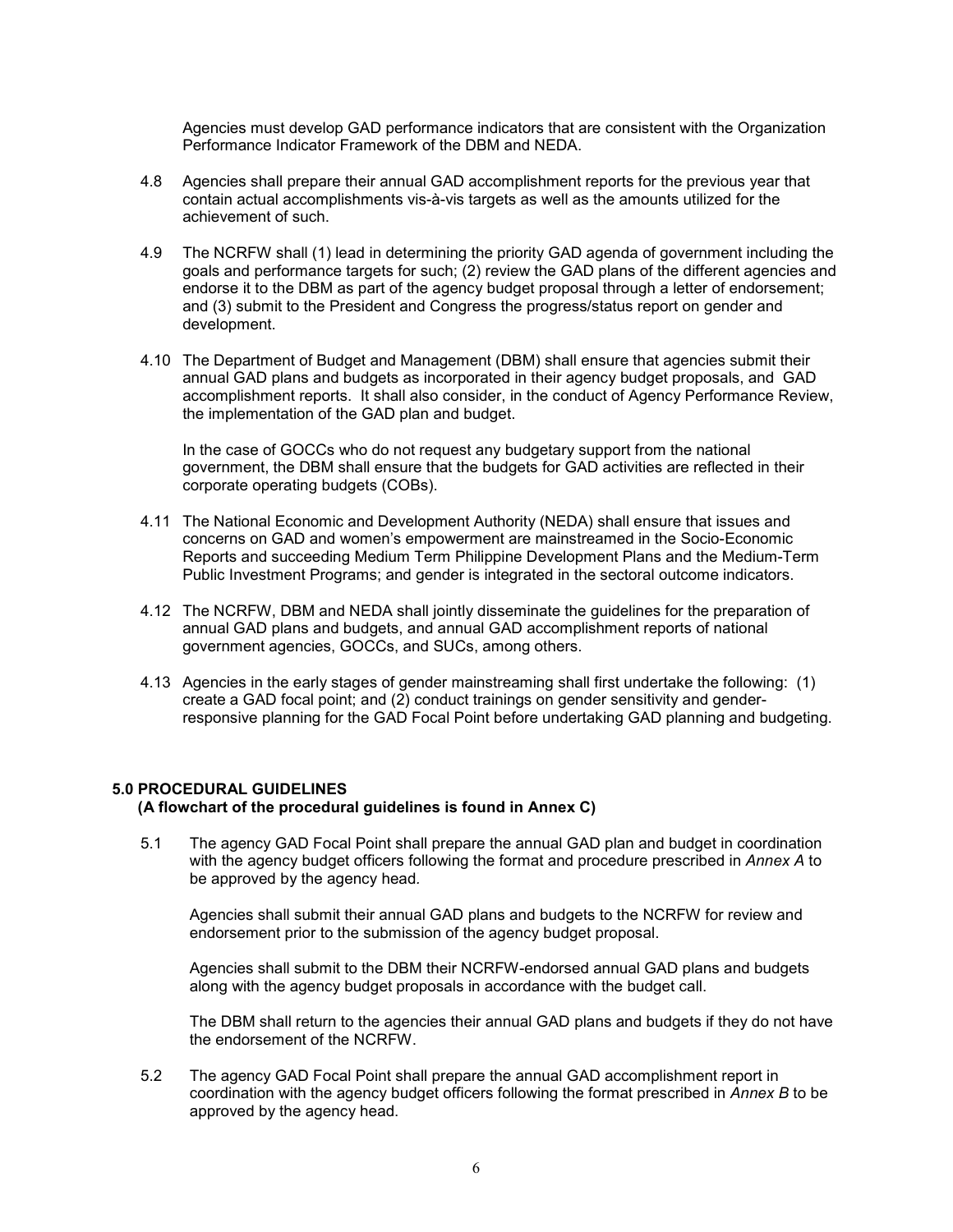Agencies must develop GAD performance indicators that are consistent with the Organization Performance Indicator Framework of the DBM and NEDA.

- 4.8 Agencies shall prepare their annual GAD accomplishment reports for the previous year that contain actual accomplishments vis-à-vis targets as well as the amounts utilized for the achievement of such.
- 4.9 The NCRFW shall (1) lead in determining the priority GAD agenda of government including the goals and performance targets for such; (2) review the GAD plans of the different agencies and endorse it to the DBM as part of the agency budget proposal through a letter of endorsement; and (3) submit to the President and Congress the progress/status report on gender and development.
- 4.10 The Department of Budget and Management (DBM) shall ensure that agencies submit their annual GAD plans and budgets as incorporated in their agency budget proposals, and GAD accomplishment reports. It shall also consider, in the conduct of Agency Performance Review, the implementation of the GAD plan and budget.

In the case of GOCCs who do not request any budgetary support from the national government, the DBM shall ensure that the budgets for GAD activities are reflected in their corporate operating budgets (COBs).

- 4.11 The National Economic and Development Authority (NEDA) shall ensure that issues and concerns on GAD and women's empowerment are mainstreamed in the Socio-Economic Reports and succeeding Medium Term Philippine Development Plans and the Medium-Term Public Investment Programs; and gender is integrated in the sectoral outcome indicators.
- 4.12 The NCRFW, DBM and NEDA shall jointly disseminate the guidelines for the preparation of annual GAD plans and budgets, and annual GAD accomplishment reports of national government agencies, GOCCs, and SUCs, among others.
- 4.13 Agencies in the early stages of gender mainstreaming shall first undertake the following: (1) create a GAD focal point; and (2) conduct trainings on gender sensitivity and genderresponsive planning for the GAD Focal Point before undertaking GAD planning and budgeting.

## **5.0 PROCEDURAL GUIDELINES**

## **(A flowchart of the procedural guidelines is found in Annex C)**

5.1 The agency GAD Focal Point shall prepare the annual GAD plan and budget in coordination with the agency budget officers following the format and procedure prescribed in *Annex A* to be approved by the agency head*.*

Agencies shall submit their annual GAD plans and budgets to the NCRFW for review and endorsement prior to the submission of the agency budget proposal.

Agencies shall submit to the DBM their NCRFW-endorsed annual GAD plans and budgets along with the agency budget proposals in accordance with the budget call.

The DBM shall return to the agencies their annual GAD plans and budgets if they do not have the endorsement of the NCRFW.

5.2 The agency GAD Focal Point shall prepare the annual GAD accomplishment report in coordination with the agency budget officers following the format prescribed in *Annex B* to be approved by the agency head.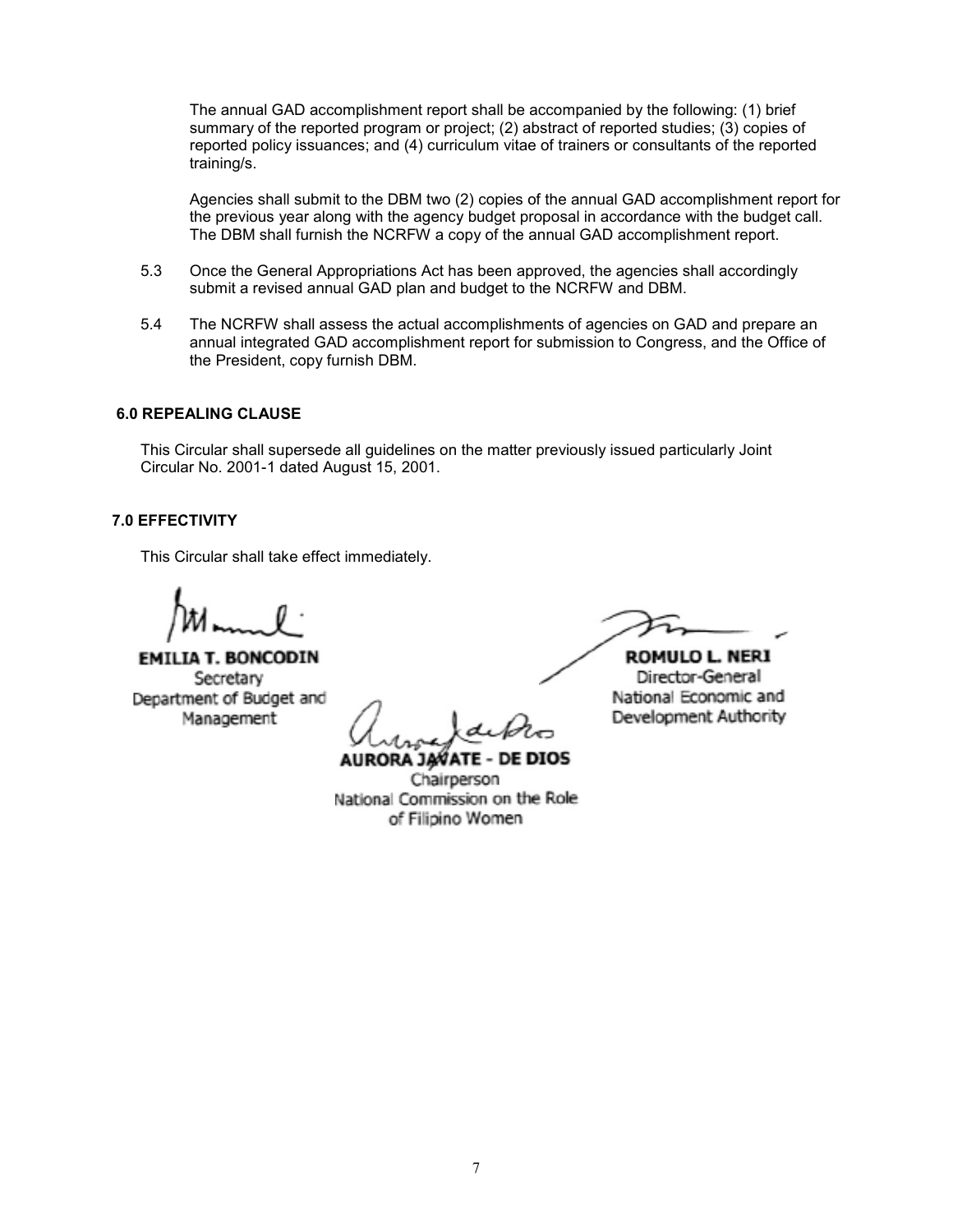The annual GAD accomplishment report shall be accompanied by the following: (1) brief summary of the reported program or project; (2) abstract of reported studies; (3) copies of reported policy issuances; and (4) curriculum vitae of trainers or consultants of the reported training/s.

Agencies shall submit to the DBM two (2) copies of the annual GAD accomplishment report for the previous year along with the agency budget proposal in accordance with the budget call. The DBM shall furnish the NCRFW a copy of the annual GAD accomplishment report.

- 5.3 Once the General Appropriations Act has been approved, the agencies shall accordingly submit a revised annual GAD plan and budget to the NCRFW and DBM.
- 5.4 The NCRFW shall assess the actual accomplishments of agencies on GAD and prepare an annual integrated GAD accomplishment report for submission to Congress, and the Office of the President, copy furnish DBM.

## **6.0 REPEALING CLAUSE**

This Circular shall supersede all guidelines on the matter previously issued particularly Joint Circular No. 2001-1 dated August 15, 2001.

# **7.0 EFFECTIVITY**

This Circular shall take effect immediately.

**EMILIA T. BONCODIN** Secretary Department of Budget and Management

**AURORA JAVATE - DE DIOS** Chairperson National Commission on the Role of Filipino Women

ROMULO L. NERI Director-General National Economic and Development Authority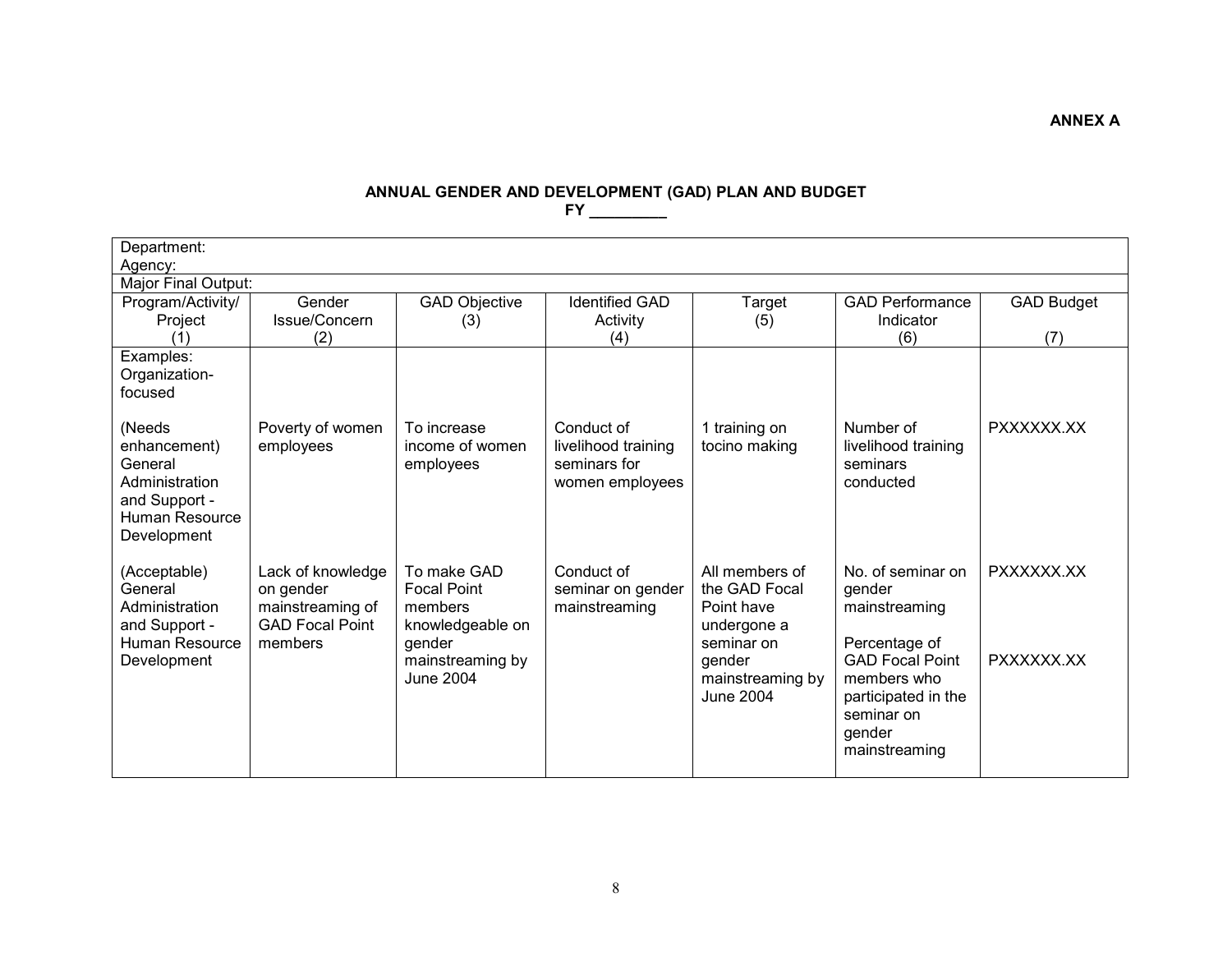## **ANNUAL GENDER AND DEVELOPMENT (GAD) PLAN AND BUDGET FY \_\_\_\_\_\_\_\_\_**

| Department:                     |                                            |                                      |                       |                               |                                         |                   |  |  |
|---------------------------------|--------------------------------------------|--------------------------------------|-----------------------|-------------------------------|-----------------------------------------|-------------------|--|--|
| Agency:                         |                                            |                                      |                       |                               |                                         |                   |  |  |
| Major Final Output:             |                                            |                                      |                       |                               |                                         |                   |  |  |
| Program/Activity/               | Gender                                     | <b>GAD Objective</b>                 | <b>Identified GAD</b> | <b>Target</b>                 | <b>GAD Performance</b>                  | <b>GAD Budget</b> |  |  |
| Project                         | Issue/Concern                              | (3)                                  | Activity              | (5)                           | Indicator                               |                   |  |  |
| (1)                             | (2)                                        |                                      | (4)                   |                               | (6)                                     | (7)               |  |  |
| Examples:                       |                                            |                                      |                       |                               |                                         |                   |  |  |
| Organization-                   |                                            |                                      |                       |                               |                                         |                   |  |  |
| focused                         |                                            |                                      |                       |                               |                                         |                   |  |  |
|                                 |                                            |                                      |                       |                               |                                         |                   |  |  |
| (Needs                          | Poverty of women                           | To increase                          | Conduct of            | 1 training on                 | Number of                               | PXXXXXX.XX        |  |  |
| enhancement)                    | employees                                  | income of women                      | livelihood training   | tocino making                 | livelihood training                     |                   |  |  |
| General                         |                                            | employees                            | seminars for          |                               | seminars                                |                   |  |  |
| Administration                  |                                            |                                      | women employees       |                               | conducted                               |                   |  |  |
| and Support -                   |                                            |                                      |                       |                               |                                         |                   |  |  |
| Human Resource                  |                                            |                                      |                       |                               |                                         |                   |  |  |
| Development                     |                                            |                                      |                       |                               |                                         |                   |  |  |
|                                 |                                            | To make GAD                          | Conduct of            | All members of                | No. of seminar on                       | PXXXXXX.XX        |  |  |
| (Acceptable)<br>General         | Lack of knowledge                          | <b>Focal Point</b>                   |                       | the GAD Focal                 |                                         |                   |  |  |
| Administration                  | on gender                                  | members                              | seminar on gender     | Point have                    | gender                                  |                   |  |  |
|                                 | mainstreaming of<br><b>GAD Focal Point</b> |                                      | mainstreaming         |                               | mainstreaming                           |                   |  |  |
| and Support -<br>Human Resource | members                                    | knowledgeable on                     |                       | undergone a<br>seminar on     |                                         |                   |  |  |
|                                 |                                            | gender                               |                       |                               | Percentage of<br><b>GAD Focal Point</b> | PXXXXXX.XX        |  |  |
| Development                     |                                            | mainstreaming by<br><b>June 2004</b> |                       | gender                        | members who                             |                   |  |  |
|                                 |                                            |                                      |                       | mainstreaming by<br>June 2004 |                                         |                   |  |  |
|                                 |                                            |                                      |                       |                               | participated in the<br>seminar on       |                   |  |  |
|                                 |                                            |                                      |                       |                               |                                         |                   |  |  |
|                                 |                                            |                                      |                       |                               | gender<br>mainstreaming                 |                   |  |  |
|                                 |                                            |                                      |                       |                               |                                         |                   |  |  |
|                                 |                                            |                                      |                       |                               |                                         |                   |  |  |

**ANNEX A**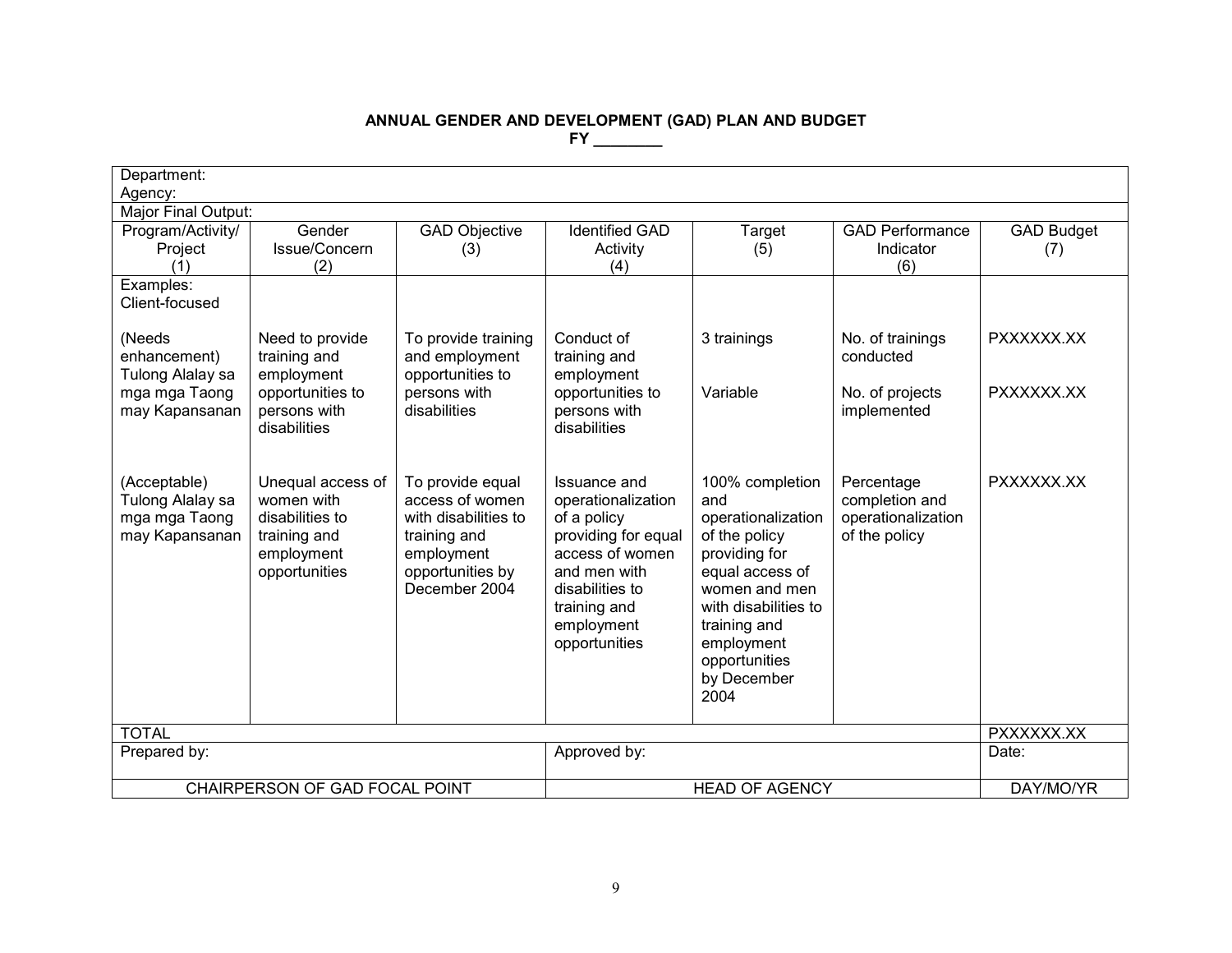# **ANNUAL GENDER AND DEVELOPMENT (GAD) PLAN AND BUDGET**

| Department:                                                         |                                                                                                   |                                                                                                                                |                                                                                                                                                                               |                                                                                                                                                                                                                  |                                                                     |                          |  |
|---------------------------------------------------------------------|---------------------------------------------------------------------------------------------------|--------------------------------------------------------------------------------------------------------------------------------|-------------------------------------------------------------------------------------------------------------------------------------------------------------------------------|------------------------------------------------------------------------------------------------------------------------------------------------------------------------------------------------------------------|---------------------------------------------------------------------|--------------------------|--|
| Agency:<br>Major Final Output:                                      |                                                                                                   |                                                                                                                                |                                                                                                                                                                               |                                                                                                                                                                                                                  |                                                                     |                          |  |
| Program/Activity/<br>Project<br>(1)                                 | Gender<br>Issue/Concern<br>(2)                                                                    | <b>GAD Objective</b><br>(3)                                                                                                    | <b>Identified GAD</b><br>Activity<br>(4)                                                                                                                                      | Target<br>(5)                                                                                                                                                                                                    | <b>GAD Performance</b><br>Indicator<br>(6)                          | <b>GAD Budget</b><br>(7) |  |
| Examples:<br>Client-focused                                         |                                                                                                   |                                                                                                                                |                                                                                                                                                                               |                                                                                                                                                                                                                  |                                                                     |                          |  |
| (Needs<br>enhancement)<br>Tulong Alalay sa                          | Need to provide<br>training and<br>employment                                                     | To provide training<br>and employment<br>opportunities to                                                                      | Conduct of<br>training and<br>employment                                                                                                                                      | 3 trainings                                                                                                                                                                                                      | No. of trainings<br>conducted                                       | PXXXXXX.XX               |  |
| mga mga Taong<br>may Kapansanan                                     | opportunities to<br>persons with<br>disabilities                                                  | persons with<br>disabilities                                                                                                   | opportunities to<br>persons with<br>disabilities                                                                                                                              | Variable                                                                                                                                                                                                         | No. of projects<br>implemented                                      | PXXXXXX.XX               |  |
| (Acceptable)<br>Tulong Alalay sa<br>mga mga Taong<br>may Kapansanan | Unequal access of<br>women with<br>disabilities to<br>training and<br>employment<br>opportunities | To provide equal<br>access of women<br>with disabilities to<br>training and<br>employment<br>opportunities by<br>December 2004 | Issuance and<br>operationalization<br>of a policy<br>providing for equal<br>access of women<br>and men with<br>disabilities to<br>training and<br>employment<br>opportunities | 100% completion<br>and<br>operationalization<br>of the policy<br>providing for<br>equal access of<br>women and men<br>with disabilities to<br>training and<br>employment<br>opportunities<br>by December<br>2004 | Percentage<br>completion and<br>operationalization<br>of the policy | PXXXXXX.XX               |  |
| <b>TOTAL</b>                                                        |                                                                                                   |                                                                                                                                |                                                                                                                                                                               |                                                                                                                                                                                                                  |                                                                     | PXXXXXX.XX               |  |
| Prepared by:                                                        |                                                                                                   |                                                                                                                                | Approved by:                                                                                                                                                                  |                                                                                                                                                                                                                  |                                                                     | Date:                    |  |
| CHAIRPERSON OF GAD FOCAL POINT                                      |                                                                                                   |                                                                                                                                |                                                                                                                                                                               | DAY/MO/YR                                                                                                                                                                                                        |                                                                     |                          |  |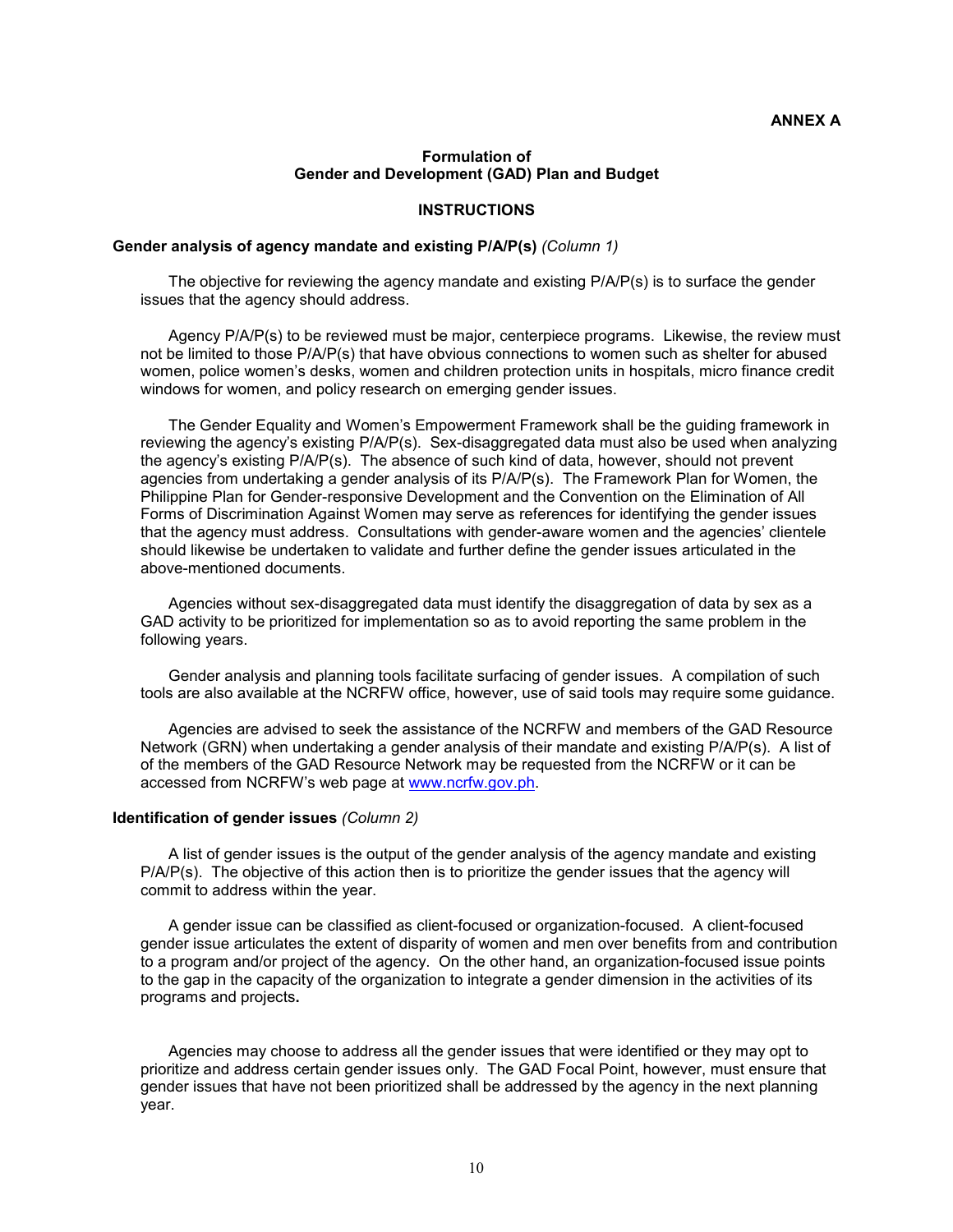## **ANNEX A**

#### **Formulation of Gender and Development (GAD) Plan and Budget**

#### **INSTRUCTIONS**

#### **Gender analysis of agency mandate and existing P/A/P(s)** *(Column 1)*

The objective for reviewing the agency mandate and existing P/A/P(s) is to surface the gender issues that the agency should address.

Agency P/A/P(s) to be reviewed must be major, centerpiece programs. Likewise, the review must not be limited to those P/A/P(s) that have obvious connections to women such as shelter for abused women, police women's desks, women and children protection units in hospitals, micro finance credit windows for women, and policy research on emerging gender issues.

The Gender Equality and Women's Empowerment Framework shall be the guiding framework in reviewing the agency's existing P/A/P(s). Sex-disaggregated data must also be used when analyzing the agency's existing P/A/P(s). The absence of such kind of data, however, should not prevent agencies from undertaking a gender analysis of its P/A/P(s). The Framework Plan for Women, the Philippine Plan for Gender-responsive Development and the Convention on the Elimination of All Forms of Discrimination Against Women may serve as references for identifying the gender issues that the agency must address. Consultations with gender-aware women and the agencies' clientele should likewise be undertaken to validate and further define the gender issues articulated in the above-mentioned documents.

Agencies without sex-disaggregated data must identify the disaggregation of data by sex as a GAD activity to be prioritized for implementation so as to avoid reporting the same problem in the following years.

Gender analysis and planning tools facilitate surfacing of gender issues. A compilation of such tools are also available at the NCRFW office, however, use of said tools may require some guidance.

Agencies are advised to seek the assistance of the NCRFW and members of the GAD Resource Network (GRN) when undertaking a gender analysis of their mandate and existing P/A/P(s). A list of of the members of the GAD Resource Network may be requested from the NCRFW or it can be accessed from NCRFW's web page at www.ncrfw.gov.ph.

#### **Identification of gender issues** *(Column 2)*

A list of gender issues is the output of the gender analysis of the agency mandate and existing P/A/P(s). The objective of this action then is to prioritize the gender issues that the agency will commit to address within the year.

A gender issue can be classified as client-focused or organization-focused. A client-focused gender issue articulates the extent of disparity of women and men over benefits from and contribution to a program and/or project of the agency. On the other hand, an organization-focused issue points to the gap in the capacity of the organization to integrate a gender dimension in the activities of its programs and projects**.**

Agencies may choose to address all the gender issues that were identified or they may opt to prioritize and address certain gender issues only. The GAD Focal Point, however, must ensure that gender issues that have not been prioritized shall be addressed by the agency in the next planning year.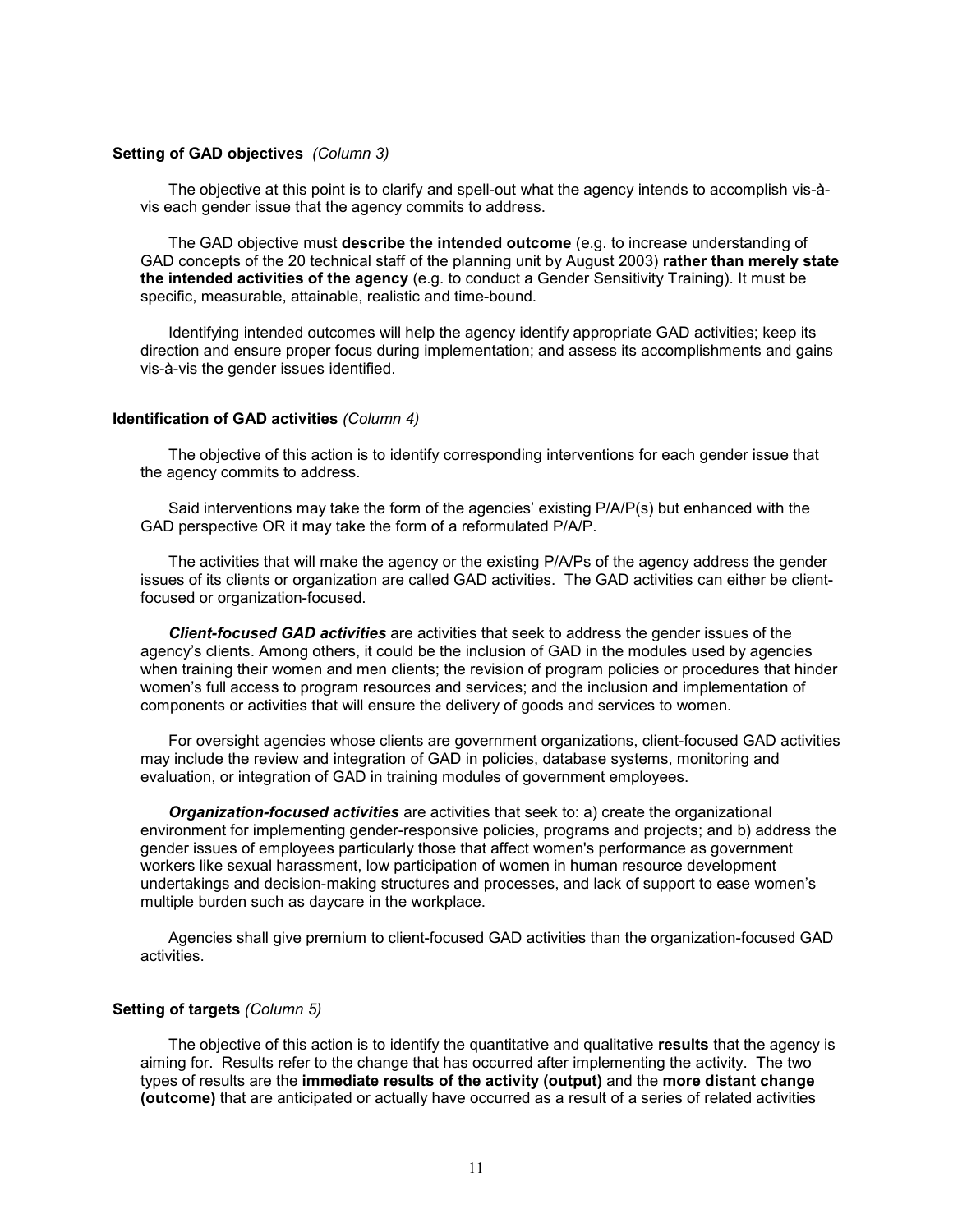#### **Setting of GAD objectives** *(Column 3)*

The objective at this point is to clarify and spell-out what the agency intends to accomplish vis-àvis each gender issue that the agency commits to address.

The GAD objective must **describe the intended outcome** (e.g. to increase understanding of GAD concepts of the 20 technical staff of the planning unit by August 2003) **rather than merely state the intended activities of the agency** (e.g. to conduct a Gender Sensitivity Training). It must be specific, measurable, attainable, realistic and time-bound.

Identifying intended outcomes will help the agency identify appropriate GAD activities; keep its direction and ensure proper focus during implementation; and assess its accomplishments and gains vis-à-vis the gender issues identified.

#### **Identification of GAD activities** *(Column 4)*

The objective of this action is to identify corresponding interventions for each gender issue that the agency commits to address.

Said interventions may take the form of the agencies' existing P/A/P(s) but enhanced with the GAD perspective OR it may take the form of a reformulated P/A/P.

The activities that will make the agency or the existing P/A/Ps of the agency address the gender issues of its clients or organization are called GAD activities. The GAD activities can either be clientfocused or organization-focused.

*Client-focused GAD activities* are activities that seek to address the gender issues of the agency's clients. Among others, it could be the inclusion of GAD in the modules used by agencies when training their women and men clients; the revision of program policies or procedures that hinder women's full access to program resources and services; and the inclusion and implementation of components or activities that will ensure the delivery of goods and services to women.

For oversight agencies whose clients are government organizations, client-focused GAD activities may include the review and integration of GAD in policies, database systems, monitoring and evaluation, or integration of GAD in training modules of government employees.

*Organization-focused activities* are activities that seek to: a) create the organizational environment for implementing gender-responsive policies, programs and projects; and b) address the gender issues of employees particularly those that affect women's performance as government workers like sexual harassment, low participation of women in human resource development undertakings and decision-making structures and processes, and lack of support to ease women's multiple burden such as daycare in the workplace.

Agencies shall give premium to client-focused GAD activities than the organization-focused GAD activities.

#### **Setting of targets** *(Column 5)*

The objective of this action is to identify the quantitative and qualitative **results** that the agency is aiming for. Results refer to the change that has occurred after implementing the activity. The two types of results are the **immediate results of the activity (output)** and the **more distant change (outcome)** that are anticipated or actually have occurred as a result of a series of related activities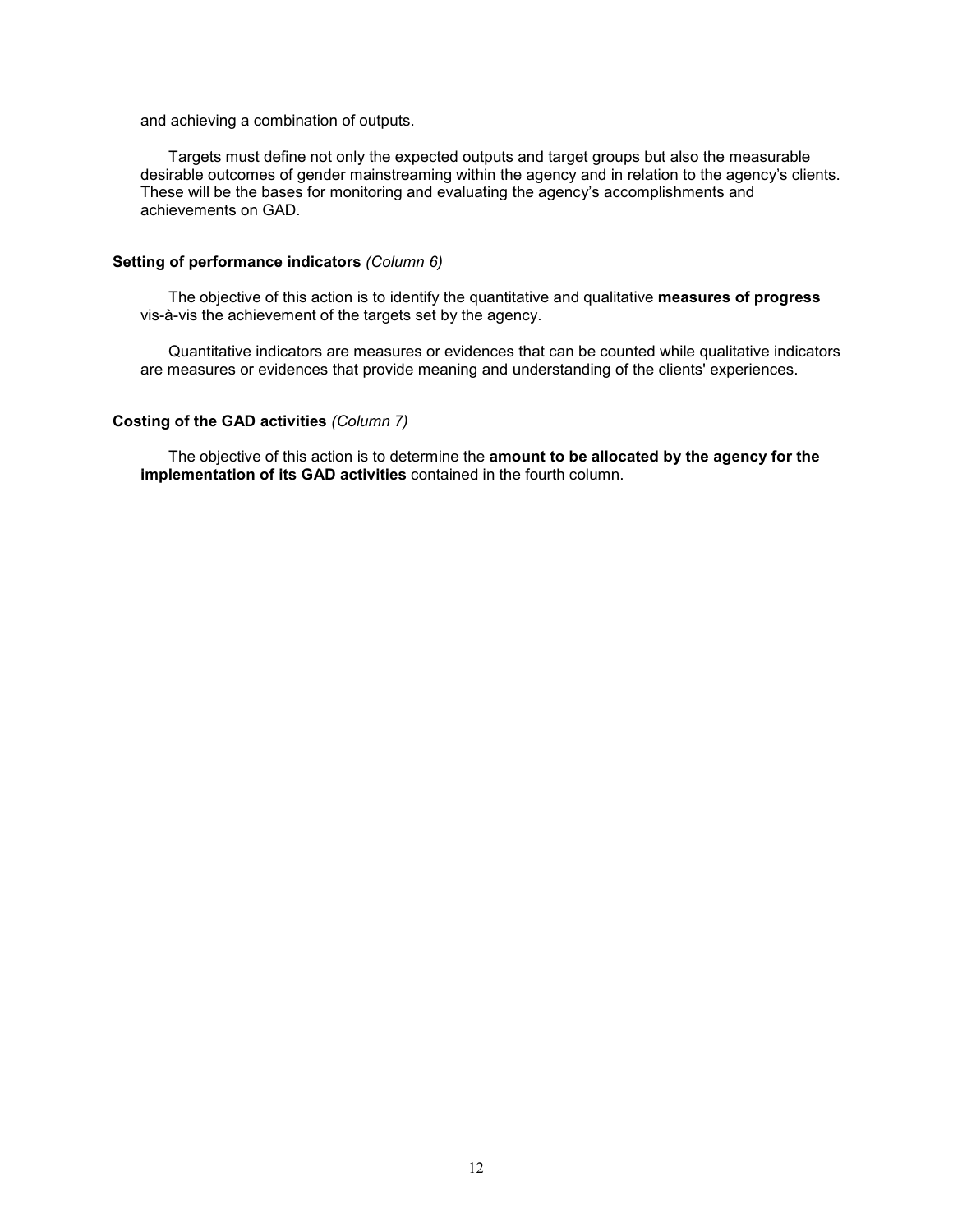and achieving a combination of outputs.

Targets must define not only the expected outputs and target groups but also the measurable desirable outcomes of gender mainstreaming within the agency and in relation to the agency's clients. These will be the bases for monitoring and evaluating the agency's accomplishments and achievements on GAD.

## **Setting of performance indicators** *(Column 6)*

The objective of this action is to identify the quantitative and qualitative **measures of progress** vis-à-vis the achievement of the targets set by the agency.

Quantitative indicators are measures or evidences that can be counted while qualitative indicators are measures or evidences that provide meaning and understanding of the clients' experiences.

# **Costing of the GAD activities** *(Column 7)*

The objective of this action is to determine the **amount to be allocated by the agency for the implementation of its GAD activities** contained in the fourth column.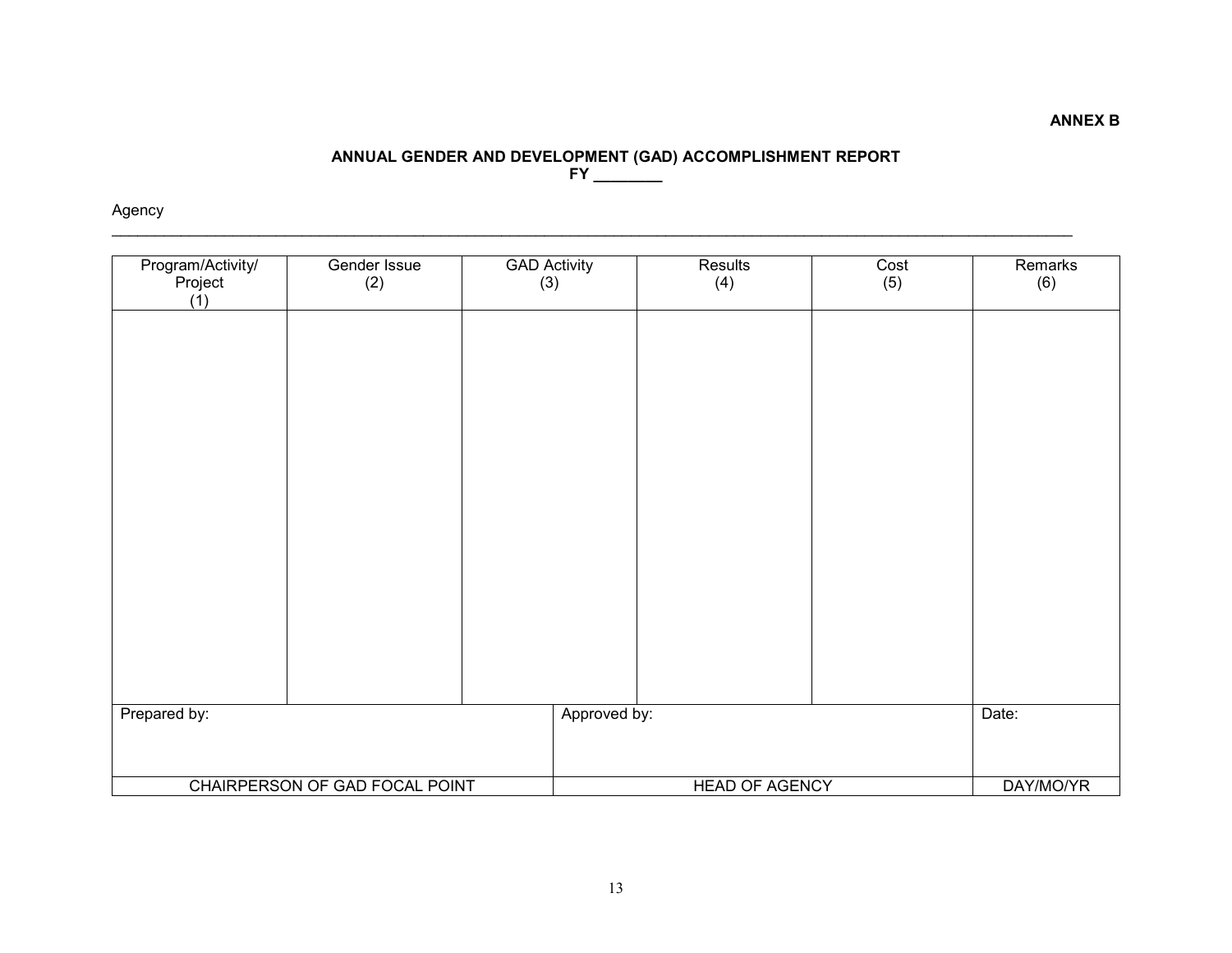#### **ANNUAL GENDER AND DEVELOPMENT (GAD) ACCOMPLISHMENT REPORT FY \_\_\_\_\_\_\_\_**

# Agency

| Program/Activity/<br>Project<br>(1) | Gender Issue<br>(2)            | <b>GAD Activity</b><br>(3) | Results<br>(4)        | Cost<br>(5) | Remarks<br>(6) |
|-------------------------------------|--------------------------------|----------------------------|-----------------------|-------------|----------------|
|                                     |                                |                            |                       |             |                |
|                                     |                                |                            |                       |             |                |
|                                     |                                |                            |                       |             |                |
|                                     |                                |                            |                       |             |                |
|                                     |                                |                            |                       |             |                |
|                                     |                                |                            |                       |             |                |
|                                     |                                |                            |                       |             | Date:          |
| Prepared by:                        |                                | Approved by:               |                       |             |                |
|                                     | CHAIRPERSON OF GAD FOCAL POINT |                            | <b>HEAD OF AGENCY</b> |             | DAY/MO/YR      |

**ANNEX B**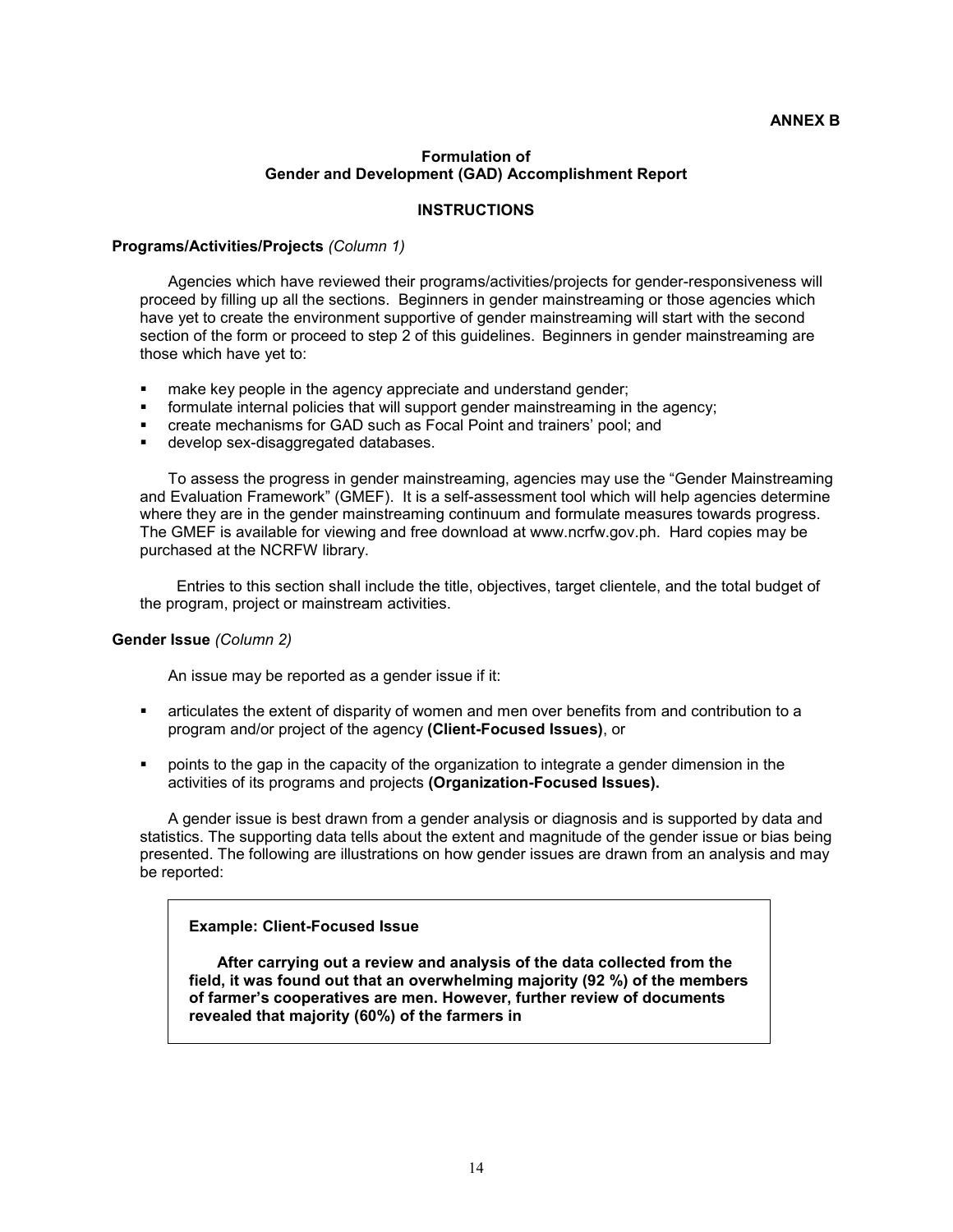## **ANNEX B**

## **Formulation of Gender and Development (GAD) Accomplishment Report**

## **INSTRUCTIONS**

#### **Programs/Activities/Projects** *(Column 1)*

Agencies which have reviewed their programs/activities/projects for gender-responsiveness will proceed by filling up all the sections. Beginners in gender mainstreaming or those agencies which have yet to create the environment supportive of gender mainstreaming will start with the second section of the form or proceed to step 2 of this guidelines. Beginners in gender mainstreaming are those which have yet to:

- **nake key people in the agency appreciate and understand gender;**
- formulate internal policies that will support gender mainstreaming in the agency;
- create mechanisms for GAD such as Focal Point and trainers' pool; and
- **develop sex-disaggregated databases.**

To assess the progress in gender mainstreaming, agencies may use the "Gender Mainstreaming and Evaluation Framework" (GMEF). It is a self-assessment tool which will help agencies determine where they are in the gender mainstreaming continuum and formulate measures towards progress. The GMEF is available for viewing and free download at www.ncrfw.gov.ph. Hard copies may be purchased at the NCRFW library.

Entries to this section shall include the title, objectives, target clientele, and the total budget of the program, project or mainstream activities.

## **Gender Issue** *(Column 2)*

An issue may be reported as a gender issue if it:

- articulates the extent of disparity of women and men over benefits from and contribution to a program and/or project of the agency **(Client-Focused Issues)**, or
- points to the gap in the capacity of the organization to integrate a gender dimension in the activities of its programs and projects **(Organization-Focused Issues).**

A gender issue is best drawn from a gender analysis or diagnosis and is supported by data and statistics. The supporting data tells about the extent and magnitude of the gender issue or bias being presented. The following are illustrations on how gender issues are drawn from an analysis and may be reported:

## **Example: Client-Focused Issue**

**After carrying out a review and analysis of the data collected from the field, it was found out that an overwhelming majority (92 %) of the members of farmer's cooperatives are men. However, further review of documents revealed that majority (60%) of the farmers in**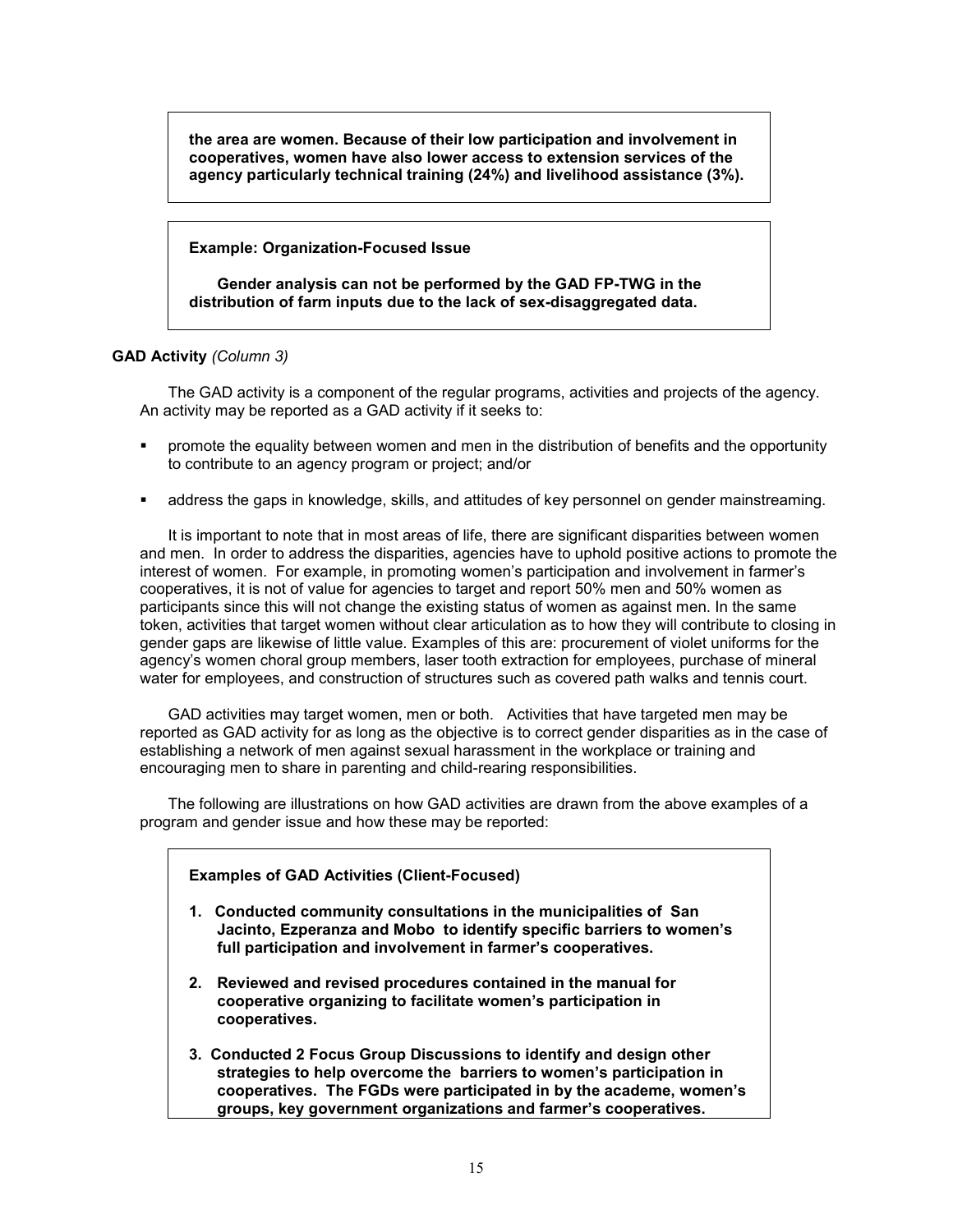**the area are women. Because of their low participation and involvement in cooperatives, women have also lower access to extension services of the agency particularly technical training (24%) and livelihood assistance (3%).** 

## **Example: Organization-Focused Issue**

**Gender analysis can not be performed by the GAD FP-TWG in the distribution of farm inputs due to the lack of sex-disaggregated data.** 

## **GAD Activity** *(Column 3)*

The GAD activity is a component of the regular programs, activities and projects of the agency. An activity may be reported as a GAD activity if it seeks to:

- **•** promote the equality between women and men in the distribution of benefits and the opportunity to contribute to an agency program or project; and/or
- address the gaps in knowledge, skills, and attitudes of key personnel on gender mainstreaming.

It is important to note that in most areas of life, there are significant disparities between women and men. In order to address the disparities, agencies have to uphold positive actions to promote the interest of women. For example, in promoting women's participation and involvement in farmer's cooperatives, it is not of value for agencies to target and report 50% men and 50% women as participants since this will not change the existing status of women as against men. In the same token, activities that target women without clear articulation as to how they will contribute to closing in gender gaps are likewise of little value. Examples of this are: procurement of violet uniforms for the agency's women choral group members, laser tooth extraction for employees, purchase of mineral water for employees, and construction of structures such as covered path walks and tennis court.

GAD activities may target women, men or both. Activities that have targeted men may be reported as GAD activity for as long as the objective is to correct gender disparities as in the case of establishing a network of men against sexual harassment in the workplace or training and encouraging men to share in parenting and child-rearing responsibilities.

The following are illustrations on how GAD activities are drawn from the above examples of a program and gender issue and how these may be reported:

## **Examples of GAD Activities (Client-Focused)**

- **1. Conducted community consultations in the municipalities of San Jacinto, Ezperanza and Mobo to identify specific barriers to women's full participation and involvement in farmer's cooperatives.**
- **2. Reviewed and revised procedures contained in the manual for cooperative organizing to facilitate women's participation in cooperatives.**
- **3. Conducted 2 Focus Group Discussions to identify and design other strategies to help overcome the barriers to women's participation in cooperatives. The FGDs were participated in by the academe, women's groups, key government organizations and farmer's cooperatives.**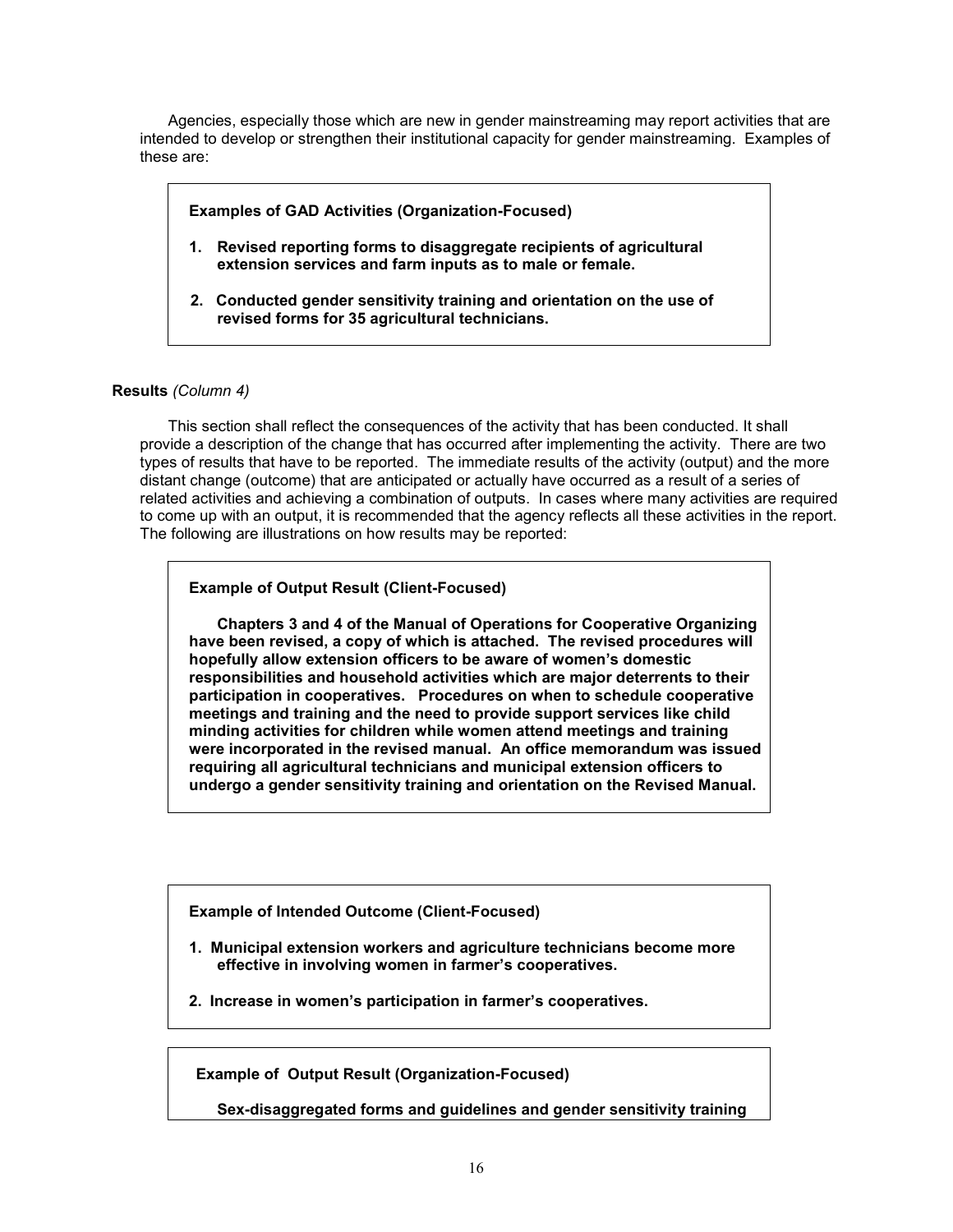Agencies, especially those which are new in gender mainstreaming may report activities that are intended to develop or strengthen their institutional capacity for gender mainstreaming. Examples of these are:

**Examples of GAD Activities (Organization-Focused)** 

- **1. Revised reporting forms to disaggregate recipients of agricultural extension services and farm inputs as to male or female.**
- **2. Conducted gender sensitivity training and orientation on the use of revised forms for 35 agricultural technicians.**

# **Results** *(Column 4)*

This section shall reflect the consequences of the activity that has been conducted. It shall provide a description of the change that has occurred after implementing the activity. There are two types of results that have to be reported. The immediate results of the activity (output) and the more distant change (outcome) that are anticipated or actually have occurred as a result of a series of related activities and achieving a combination of outputs. In cases where many activities are required to come up with an output, it is recommended that the agency reflects all these activities in the report. The following are illustrations on how results may be reported:

# **Example of Output Result (Client-Focused)**

**Chapters 3 and 4 of the Manual of Operations for Cooperative Organizing have been revised, a copy of which is attached. The revised procedures will hopefully allow extension officers to be aware of women's domestic responsibilities and household activities which are major deterrents to their participation in cooperatives. Procedures on when to schedule cooperative meetings and training and the need to provide support services like child minding activities for children while women attend meetings and training were incorporated in the revised manual. An office memorandum was issued requiring all agricultural technicians and municipal extension officers to undergo a gender sensitivity training and orientation on the Revised Manual.** 

**Example of Intended Outcome (Client-Focused)** 

- **1. Municipal extension workers and agriculture technicians become more effective in involving women in farmer's cooperatives.**
- **2. Increase in women's participation in farmer's cooperatives.**

**Example of Output Result (Organization-Focused)** 

**Sex-disaggregated forms and guidelines and gender sensitivity training**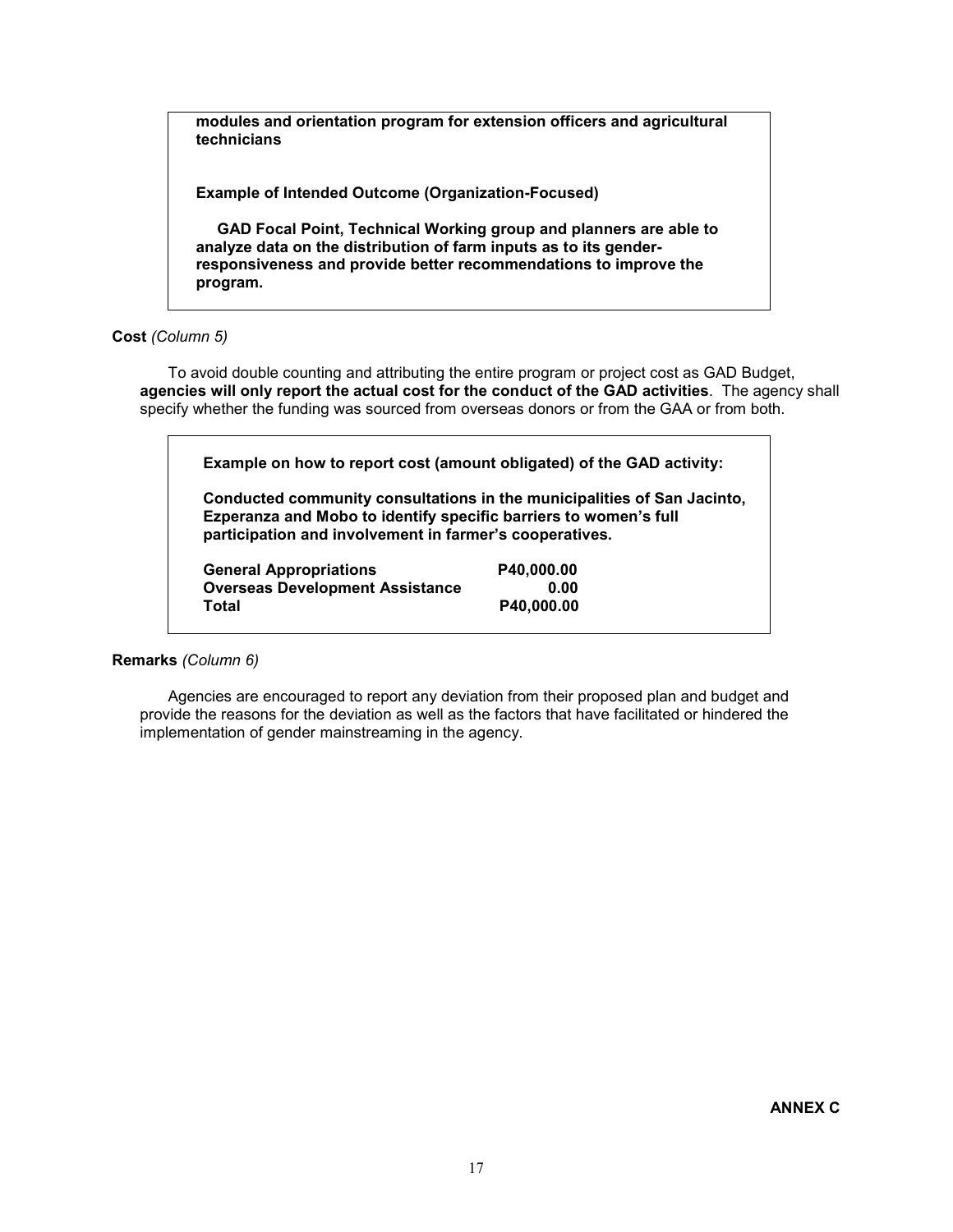**modules and orientation program for extension officers and agricultural technicians** 

**Example of Intended Outcome (Organization-Focused)** 

**GAD Focal Point, Technical Working group and planners are able to analyze data on the distribution of farm inputs as to its genderresponsiveness and provide better recommendations to improve the program.** 

## **Cost** *(Column 5)*

To avoid double counting and attributing the entire program or project cost as GAD Budget, **agencies will only report the actual cost for the conduct of the GAD activities**. The agency shall specify whether the funding was sourced from overseas donors or from the GAA or from both.

**Example on how to report cost (amount obligated) of the GAD activity:** 

**Conducted community consultations in the municipalities of San Jacinto, Ezperanza and Mobo to identify specific barriers to women's full participation and involvement in farmer's cooperatives.** 

| <b>General Appropriations</b>          | P40.000.00 |
|----------------------------------------|------------|
| <b>Overseas Development Assistance</b> | 0.00       |
| Total                                  | P40.000.00 |

# **Remarks** *(Column 6)*

Agencies are encouraged to report any deviation from their proposed plan and budget and provide the reasons for the deviation as well as the factors that have facilitated or hindered the implementation of gender mainstreaming in the agency.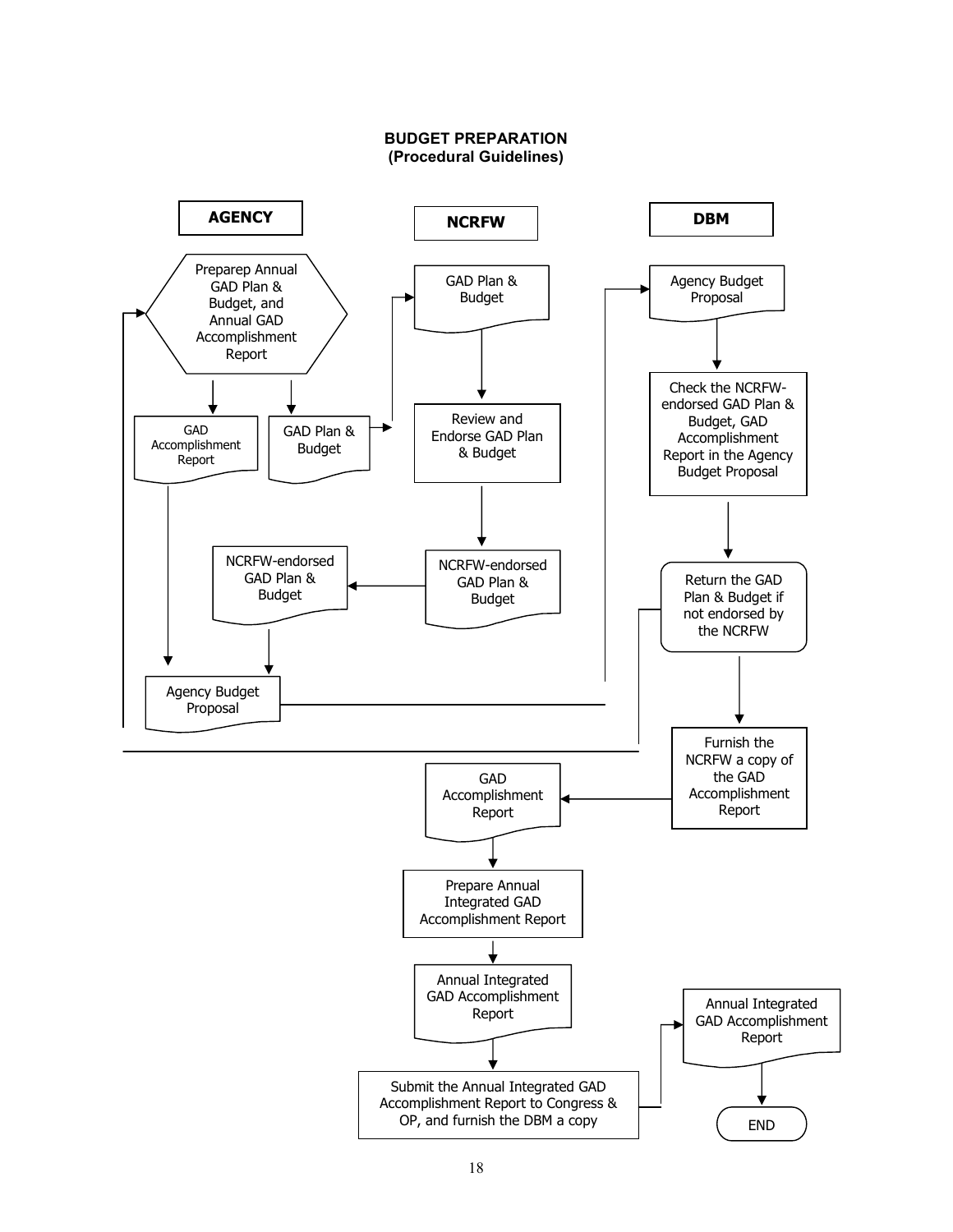

#### **BUDGET PREPARATION (Procedural Guidelines)**